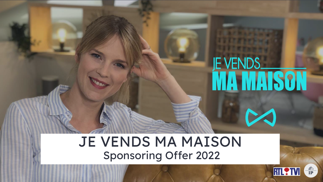## JE VENDS MA MAISON Sponsoring Offer 2022



**E VENDS<br>MA MAISON**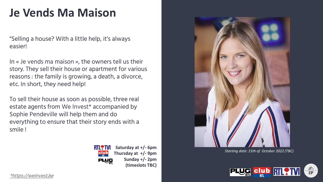### **Je Vends Ma Maison**

"Selling a house? With a little help, it's always easier!

In « Je vends ma maison », the owners tell us their story. They sell their house or apartment for various reasons : the family is growing, a death, a divorce, etc. In short, they need help!

To sell their house as soon as possible, three real estate agents from We Invest\* accompanied by Sophie Pendeville will help them and do everything to ensure that their story ends with a smile !



**Saturday at +/- 6pm Thursday at +/- 9pm Sunday +/- 2pm (timeslots TBC)**



*Starting date: 15th of October 2022 (TBC)*



[\\*https://weinvest.be](https://weinvest.be/fr/)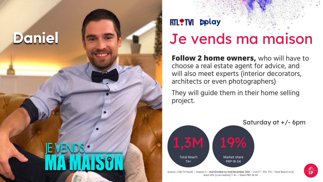

### RTL?TVI **Deplay**

## Je vends ma maison

**Follow 2 home owners,** who will have to choose a real estate agent for advice, and will also meet experts (interior decorators, architects or even photographers)

They will guide them in their home selling project.



Source : CIM TV South – Season 2 – mid October to mid December 2021 – Live+7 – RTL TVI – Total Reach of at least 10% (Live+redrun) T. 4+ – Share PRP 18-54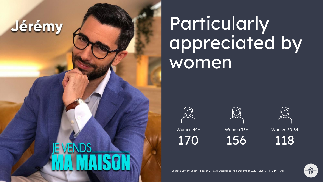# Jérémy

Particularly appreciated by women

Women 40+

170



Women 35+

156

Women 30-54

118

Source : CIM TV South – Season 2 – Mid-October to mid-December 2022 – Live+7 – RTL TVI – AFF

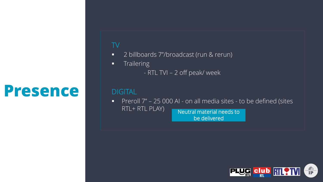# **Presence**

#### TV

- 2 billboards 7"/broadcast (run & rerun)
- **■** Trailering
	- RTL TVI 2 off peak/ week

#### **DIGITAL**

■ Preroll 7" – 25 000 AI - on all media sites - to be defined (sites  $RTL + RTL$  PLAY) Neutral material needs to be delivered

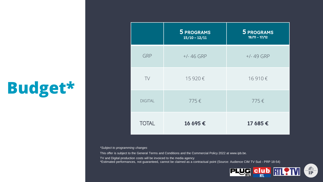# **Budget\***

|                | 5 PROGRAMS<br>$15/10 - 12/11$ | <b>5 PROGRAMS</b><br>$19/11 - 17/12$ |
|----------------|-------------------------------|--------------------------------------|
| GRP            | $+/- 46$ GRP                  | $+/- 49$ GRP                         |
| TV             | 15 920€                       | 16910€                               |
| <b>DIGITAL</b> | 775€                          | 775€                                 |
| <b>TOTAL</b>   | 16 695€                       | 17 685€                              |

#### *\*Subject to programming changes*

This offer is subject to the General Terms and Conditions and the Commercial Policy 2022 at www.ipb.be.

TV and Digital production costs will be invoiced to the media agency

\*Estimated performances, not guaranteed, cannot be claimed as a contractual point (Source: Audience CIM TV Sud - PRP 18-54)

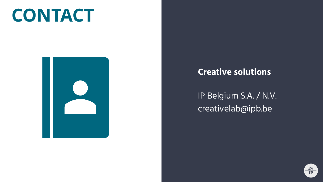# **CONTACT**



#### **Creative solutions**

IP Belgium S.A. / N.V. creativelab@ipb.be